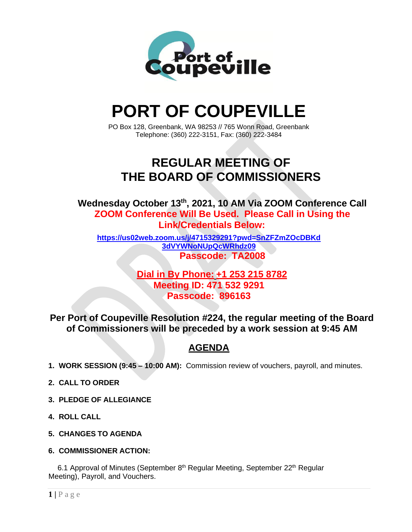

# **PORT OF COUPEVILLE**

PO Box 128, Greenbank, WA 98253 // 765 Wonn Road, Greenbank Telephone: (360) 222-3151, Fax: (360) 222-3484

# **REGULAR MEETING OF THE BOARD OF COMMISSIONERS**

**Wednesday October 13th , 2021, 10 AM Via ZOOM Conference Call ZOOM Conference Will Be Used. Please Call in Using the Link/Credentials Below:**

**[https://us02web.zoom.us/j/4715329291?pwd=SnZFZmZOcDBKd](https://us02web.zoom.us/j/4715329291?pwd=SnZFZmZOcDBKd3dVYWNoNUpQcWRhdz09) [3dVYWNoNUpQcWRhdz09](https://us02web.zoom.us/j/4715329291?pwd=SnZFZmZOcDBKd3dVYWNoNUpQcWRhdz09) Passcode: TA2008**

### **Dial in By Phone: +1 253 215 8782 Meeting ID: 471 532 9291 Passcode: 896163**

**Per Port of Coupeville Resolution #224, the regular meeting of the Board of Commissioners will be preceded by a work session at 9:45 AM**

## **AGENDA**

- **1. WORK SESSION (9:45 – 10:00 AM):** Commission review of vouchers, payroll, and minutes.
- **2. CALL TO ORDER**
- **3. PLEDGE OF ALLEGIANCE**
- **4. ROLL CALL**
- **5. CHANGES TO AGENDA**
- **6. COMMISSIONER ACTION:**

6.1 Approval of Minutes (September 8<sup>th</sup> Regular Meeting, September 22<sup>th</sup> Regular Meeting), Payroll, and Vouchers.